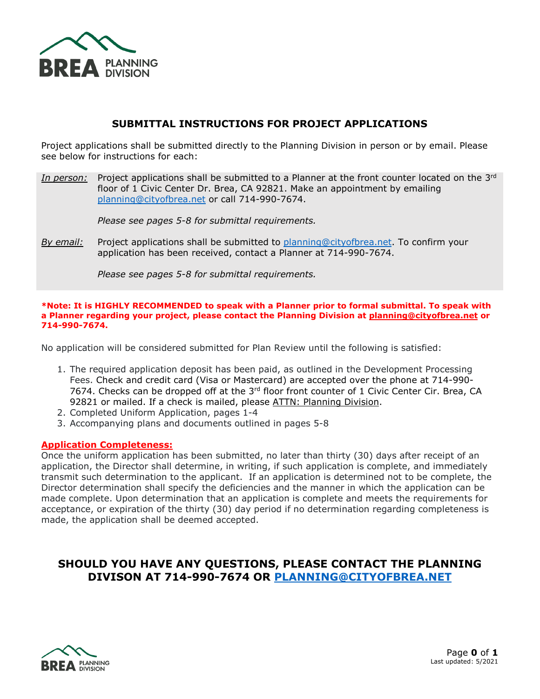

#### **SUBMITTAL INSTRUCTIONS FOR PROJECT APPLICATIONS**

Project applications shall be submitted directly to the Planning Division in person or by email. Please see below for instructions for each:

*In person:* Project applications shall be submitted to a Planner at the front counter located on the 3rd floor of 1 Civic Center Dr. Brea, CA 92821. Make an appointment by emailing [planning@cityofbrea.net](mailto:planning@cityofbrea.net) or call 714-990-7674.

*Please see pages 5-8 for submittal requirements.* 

*By email:* Project applications shall be submitted to [planning@cityofbrea.net.](mailto:planning@cityofbrea.net) To confirm your application has been received, contact a Planner at 714-990-7674.

*Please see pages 5-8 for submittal requirements.*

#### **\*Note: It is HIGHLY RECOMMENDED to speak with a Planner prior to formal submittal. To speak with a Planner regarding your project, please contact the Planning Division at [planning@cityofbrea.net](mailto:planning@cityofbrea.net) or 714-990-7674.**

No application will be considered submitted for Plan Review until the following is satisfied:

- 1. The required application deposit has been paid, as outlined in the Development Processing Fees. Check and credit card (Visa or Mastercard) are accepted over the phone at 714-990- 7674. Checks can be dropped off at the 3<sup>rd</sup> floor front counter of 1 Civic Center Cir. Brea, CA 92821 or mailed. If a check is mailed, please ATTN: Planning Division.
- 2. Completed Uniform Application, pages 1-4
- 3. Accompanying plans and documents outlined in pages 5-8

#### **Application Completeness:**

Once the uniform application has been submitted, no later than thirty (30) days after receipt of an application, the Director shall determine, in writing, if such application is complete, and immediately transmit such determination to the applicant. If an application is determined not to be complete, the Director determination shall specify the deficiencies and the manner in which the application can be made complete. Upon determination that an application is complete and meets the requirements for acceptance, or expiration of the thirty (30) day period if no determination regarding completeness is made, the application shall be deemed accepted.

## **SHOULD YOU HAVE ANY QUESTIONS, PLEASE CONTACT THE PLANNING DIVISON AT 714-990-7674 OR [PLANNING@CITYOFBREA.NET](mailto:PLANNING@CITYOFBREA.NET)**

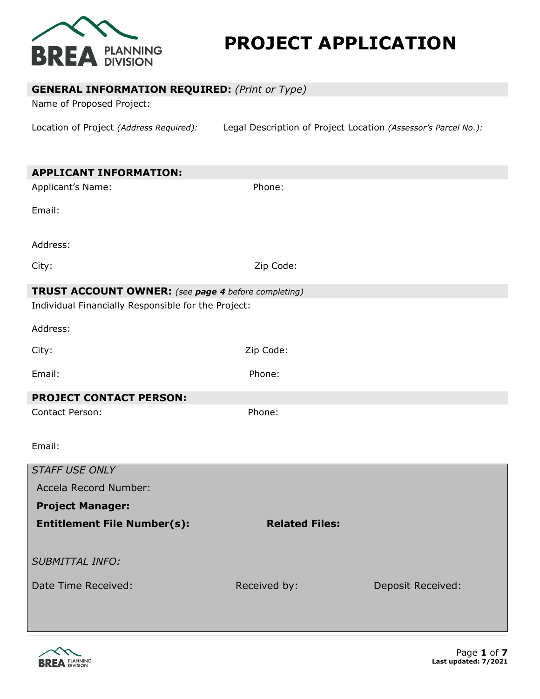

# **PROJECT APPLICATION**

| <b>GENERAL INFORMATION REQUIRED:</b> (Print or Type)<br>Name of Proposed Project:                                 |                                                                |                          |
|-------------------------------------------------------------------------------------------------------------------|----------------------------------------------------------------|--------------------------|
| Location of Project (Address Required):                                                                           | Legal Description of Project Location (Assessor's Parcel No.): |                          |
| <b>APPLICANT INFORMATION:</b>                                                                                     |                                                                |                          |
| Applicant's Name:                                                                                                 | Phone:                                                         |                          |
| Email:                                                                                                            |                                                                |                          |
| Address:                                                                                                          |                                                                |                          |
| City:                                                                                                             | Zip Code:                                                      |                          |
| <b>TRUST ACCOUNT OWNER:</b> (see page 4 before completing)<br>Individual Financially Responsible for the Project: |                                                                |                          |
| Address:                                                                                                          |                                                                |                          |
| City:                                                                                                             | Zip Code:                                                      |                          |
| Email:                                                                                                            | Phone:                                                         |                          |
| <b>PROJECT CONTACT PERSON:</b>                                                                                    |                                                                |                          |
| Contact Person:                                                                                                   | Phone:                                                         |                          |
| Email:                                                                                                            |                                                                |                          |
| <b>STAFF USE ONLY</b>                                                                                             |                                                                |                          |
| Accela Record Number:                                                                                             |                                                                |                          |
| <b>Project Manager:</b>                                                                                           |                                                                |                          |
| <b>Entitlement File Number(s):</b>                                                                                | <b>Related Files:</b>                                          |                          |
| <b>SUBMITTAL INFO:</b>                                                                                            |                                                                |                          |
| Date Time Received:                                                                                               | Received by:                                                   | <b>Deposit Received:</b> |

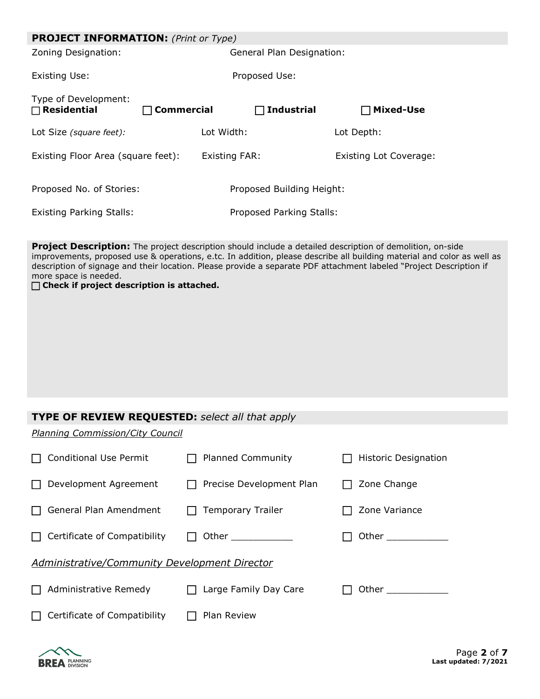| <b>PROJECT INFORMATION:</b> (Print or Type) |                   |                           |  |                                                                                                                                                                                                                                                                                                                                                            |  |  |
|---------------------------------------------|-------------------|---------------------------|--|------------------------------------------------------------------------------------------------------------------------------------------------------------------------------------------------------------------------------------------------------------------------------------------------------------------------------------------------------------|--|--|
| Zoning Designation:                         |                   | General Plan Designation: |  |                                                                                                                                                                                                                                                                                                                                                            |  |  |
| Existing Use:                               |                   | Proposed Use:             |  |                                                                                                                                                                                                                                                                                                                                                            |  |  |
| Type of Development:<br>$\Box$ Residential  | <b>Commercial</b> | $\Box$ Industrial         |  | $\Box$ Mixed-Use                                                                                                                                                                                                                                                                                                                                           |  |  |
| Lot Size (square feet):                     |                   | Lot Width:                |  | Lot Depth:                                                                                                                                                                                                                                                                                                                                                 |  |  |
| Existing Floor Area (square feet):          |                   | Existing FAR:             |  | <b>Existing Lot Coverage:</b>                                                                                                                                                                                                                                                                                                                              |  |  |
| Proposed No. of Stories:                    |                   | Proposed Building Height: |  |                                                                                                                                                                                                                                                                                                                                                            |  |  |
| <b>Existing Parking Stalls:</b>             |                   | Proposed Parking Stalls:  |  |                                                                                                                                                                                                                                                                                                                                                            |  |  |
| more space is needed.                       |                   |                           |  | Project Description: The project description should include a detailed description of demolition, on-side<br>improvements, proposed use & operations, e.tc. In addition, please describe all building material and color as well as<br>description of signage and their location. Please provide a separate PDF attachment labeled "Project Description if |  |  |

**Check if project description is attached.** 

# **TYPE OF REVIEW REQUESTED:** *select all that apply*

*Planning Commission/City Council*

| <b>Conditional Use Permit</b>                 | <b>Planned Community</b>        | Historic Designation                                                                                           |  |  |
|-----------------------------------------------|---------------------------------|----------------------------------------------------------------------------------------------------------------|--|--|
| Development Agreement                         | Precise Development Plan        | Zone Change                                                                                                    |  |  |
| General Plan Amendment                        | <b>Temporary Trailer</b><br>l I | Zone Variance                                                                                                  |  |  |
| Certificate of Compatibility                  | Other ____________              |                                                                                                                |  |  |
| Administrative/Community Development Director |                                 |                                                                                                                |  |  |
| Administrative Remedy                         | Large Family Day Care           | Other the control of the control of the control of the control of the control of the control of the control of |  |  |
| Certificate of Compatibility                  | Plan Review                     |                                                                                                                |  |  |

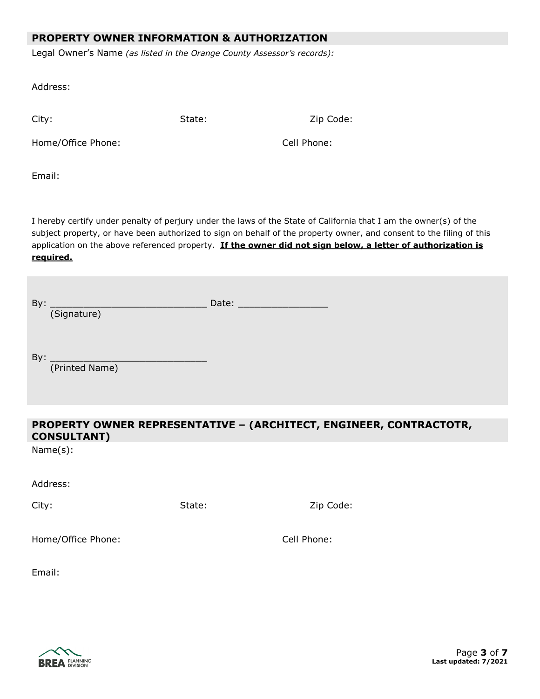#### **PROPERTY OWNER INFORMATION & AUTHORIZATION**

Legal Owner's Name *(as listed in the Orange County Assessor's records):*

Address:

City: City: State: State: Zip Code:

Home/Office Phone: Cell Phone:

Email:

I hereby certify under penalty of perjury under the laws of the State of California that I am the owner(s) of the subject property, or have been authorized to sign on behalf of the property owner, and consent to the filing of this application on the above referenced property. **If the owner did not sign below, a letter of authorization is required.**

| By:<br>(Signature)    | Date: _________________ |  |
|-----------------------|-------------------------|--|
| By:<br>(Printed Name) |                         |  |

# **PROPERTY OWNER REPRESENTATIVE – (ARCHITECT, ENGINEER, CONTRACTOTR, CONSULTANT)**

Name(s):

Address:

City: City: City: City: City: City: City: City: City: Code: City: Code: City: Code: City: Code: City: Code: City: Code: City: Code: City: City: Code: City: City: City: City: City: City: City: City: City: City: City: City:

Home/Office Phone: Cell Phone:

Email:

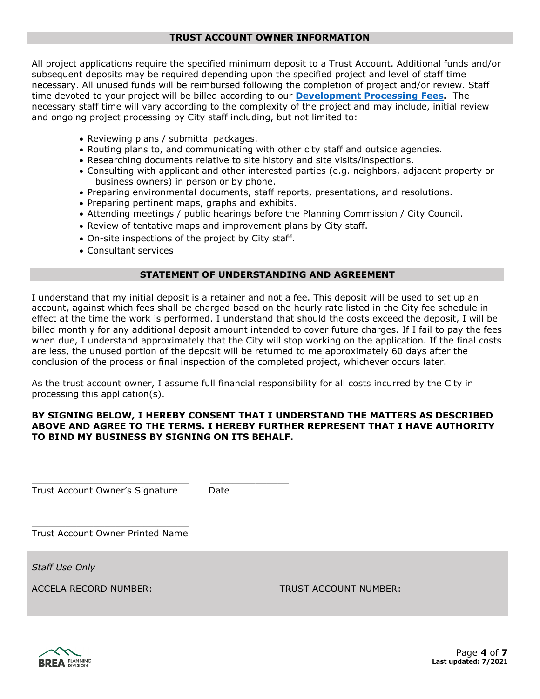#### **TRUST ACCOUNT OWNER INFORMATION**

All project applications require the specified minimum deposit to a Trust Account. Additional funds and/or subsequent deposits may be required depending upon the specified project and level of staff time necessary. All unused funds will be reimbursed following the completion of project and/or review. Staff time devoted to your project will be billed according to our **[Development Processing Fees.](https://www.ci.brea.ca.us/138/Fees)** The necessary staff time will vary according to the complexity of the project and may include, initial review and ongoing project processing by City staff including, but not limited to:

- Reviewing plans / submittal packages.
- Routing plans to, and communicating with other city staff and outside agencies.
- Researching documents relative to site history and site visits/inspections.
- Consulting with applicant and other interested parties (e.g. neighbors, adjacent property or business owners) in person or by phone.
- Preparing environmental documents, staff reports, presentations, and resolutions.
- Preparing pertinent maps, graphs and exhibits.
- Attending meetings / public hearings before the Planning Commission / City Council.
- Review of tentative maps and improvement plans by City staff.
- On-site inspections of the project by City staff.
- Consultant services

#### **STATEMENT OF UNDERSTANDING AND AGREEMENT**

I understand that my initial deposit is a retainer and not a fee. This deposit will be used to set up an account, against which fees shall be charged based on the hourly rate listed in the City fee schedule in effect at the time the work is performed. I understand that should the costs exceed the deposit, I will be billed monthly for any additional deposit amount intended to cover future charges. If I fail to pay the fees when due, I understand approximately that the City will stop working on the application. If the final costs are less, the unused portion of the deposit will be returned to me approximately 60 days after the conclusion of the process or final inspection of the completed project, whichever occurs later.

As the trust account owner, I assume full financial responsibility for all costs incurred by the City in processing this application(s).

#### **BY SIGNING BELOW, I HEREBY CONSENT THAT I UNDERSTAND THE MATTERS AS DESCRIBED ABOVE AND AGREE TO THE TERMS. I HEREBY FURTHER REPRESENT THAT I HAVE AUTHORITY TO BIND MY BUSINESS BY SIGNING ON ITS BEHALF.**

Trust Account Owner's Signature Date

\_\_\_\_\_\_\_\_\_\_\_\_\_\_\_\_\_\_\_\_\_\_\_\_\_\_\_\_ \_\_\_\_\_\_\_\_\_\_\_\_\_\_

\_\_\_\_\_\_\_\_\_\_\_\_\_\_\_\_\_\_\_\_\_\_\_\_\_\_\_\_ Trust Account Owner Printed Name

*Staff Use Only*

ACCELA RECORD NUMBER: TRUST ACCOUNT NUMBER:

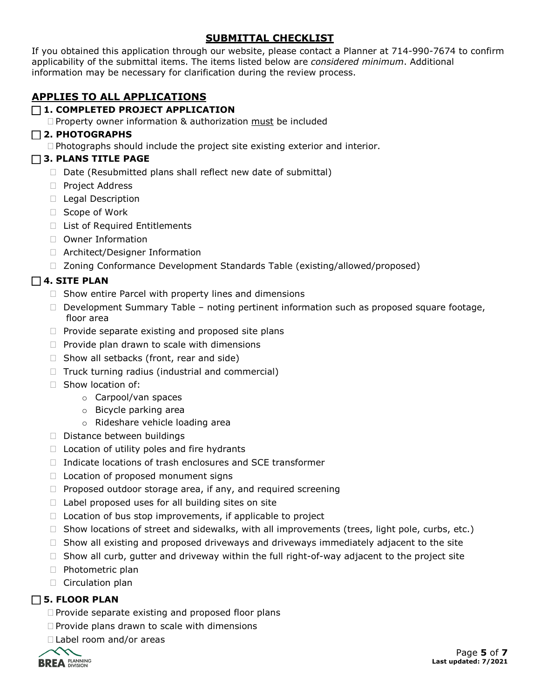## **SUBMITTAL CHECKLIST**

If you obtained this application through our website, please contact a Planner at 714-990-7674 to confirm applicability of the submittal items. The items listed below are *considered minimum*. Additional information may be necessary for clarification during the review process.

# **APPLIES TO ALL APPLICATIONS**

## **1. COMPLETED PROJECT APPLICATION**

 $\Box$  Property owner information & authorization must be included

#### **2. PHOTOGRAPHS**

 $\Box$  Photographs should include the project site existing exterior and interior.

#### **3. PLANS TITLE PAGE**

- $\Box$  Date (Resubmitted plans shall reflect new date of submittal)
- □ Project Address
- □ Legal Description
- □ Scope of Work
- □ List of Required Entitlements
- □ Owner Information
- □ Architect/Designer Information
- □ Zoning Conformance Development Standards Table (existing/allowed/proposed)

## $\Box$  4. SITE PLAN

- $\Box$  Show entire Parcel with property lines and dimensions
- $\Box$  Development Summary Table noting pertinent information such as proposed square footage, floor area
- $\Box$  Provide separate existing and proposed site plans
- $\Box$  Provide plan drawn to scale with dimensions
- $\Box$  Show all setbacks (front, rear and side)
- $\Box$  Truck turning radius (industrial and commercial)
- $\Box$  Show location of:
	- o Carpool/van spaces
	- o Bicycle parking area
	- o Rideshare vehicle loading area
- $\square$  Distance between buildings
- $\Box$  Location of utility poles and fire hydrants
- $\Box$  Indicate locations of trash enclosures and SCE transformer
- $\Box$  Location of proposed monument signs
- $\Box$  Proposed outdoor storage area, if any, and required screening
- $\Box$  Label proposed uses for all building sites on site
- $\Box$  Location of bus stop improvements, if applicable to project
- $\Box$  Show locations of street and sidewalks, with all improvements (trees, light pole, curbs, etc.)
- $\Box$  Show all existing and proposed driveways and driveways immediately adjacent to the site
- $\Box$  Show all curb, gutter and driveway within the full right-of-way adjacent to the project site
- □ Photometric plan
- $\Box$  Circulation plan

# **5. FLOOR PLAN**

- $\Box$  Provide separate existing and proposed floor plans
- $\Box$  Provide plans drawn to scale with dimensions
- □ Label room and/or areas

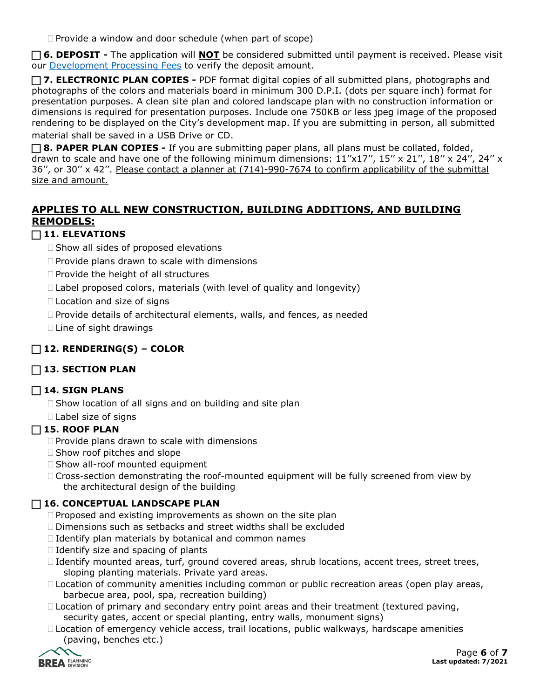$\Box$  Provide a window and door schedule (when part of scope)

 **6. DEPOSIT -** The application will **NOT** be considered submitted until payment is received. Please visit our [Development Processing Fees](https://www.ci.brea.ca.us/DocumentCenter/View/143/Development-Processing-Fees?bidId=) to verify the deposit amount.

 **7. ELECTRONIC PLAN COPIES -** PDF format digital copies of all submitted plans, photographs and photographs of the colors and materials board in minimum 300 D.P.I. (dots per square inch) format for presentation purposes. A clean site plan and colored landscape plan with no construction information or dimensions is required for presentation purposes. Include one 750KB or less jpeg image of the proposed rendering to be displayed on the City's development map. If you are submitting in person, all submitted material shall be saved in a USB Drive or CD.

**8. PAPER PLAN COPIES -** If you are submitting paper plans, all plans must be collated, folded, drawn to scale and have one of the following minimum dimensions: 11"x17", 15" x 21", 18" x 24", 24" x 36'', or 30'' x 42''. Please contact a planner at (714)-990-7674 to confirm applicability of the submittal size and amount.

# **APPLIES TO ALL NEW CONSTRUCTION, BUILDING ADDITIONS, AND BUILDING REMODELS:**

## **11. ELEVATIONS**

- $\square$  Show all sides of proposed elevations
- $\Box$  Provide plans drawn to scale with dimensions
- $\Box$  Provide the height of all structures
- $\Box$  Label proposed colors, materials (with level of quality and longevity)
- □ Location and size of signs
- $\Box$  Provide details of architectural elements, walls, and fences, as needed
- $\Box$  Line of sight drawings

# **12. RENDERING(S) – COLOR**

# **13. SECTION PLAN**

#### **14. SIGN PLANS**

 $\Box$  Show location of all signs and on building and site plan

 $\Box$  Label size of signs

#### **15. ROOF PLAN**

- $\Box$  Provide plans drawn to scale with dimensions
- $\Box$  Show roof pitches and slope
- $\Box$  Show all-roof mounted equipment
- Cross-section demonstrating the roof-mounted equipment will be fully screened from view by the architectural design of the building

#### **16. CONCEPTUAL LANDSCAPE PLAN**

- $\Box$  Proposed and existing improvements as shown on the site plan
- Dimensions such as setbacks and street widths shall be excluded
- $\Box$  Identify plan materials by botanical and common names
- $\Box$  Identify size and spacing of plants
- $\Box$  Identify mounted areas, turf, ground covered areas, shrub locations, accent trees, street trees, sloping planting materials. Private yard areas.
- $\Box$  Location of community amenities including common or public recreation areas (open play areas, barbecue area, pool, spa, recreation building)
- $\Box$  Location of primary and secondary entry point areas and their treatment (textured paving, security gates, accent or special planting, entry walls, monument signs)
- □ Location of emergency vehicle access, trail locations, public walkways, hardscape amenities (paving, benches etc.)